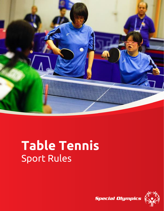

# **Table Tennis** Sport Rules

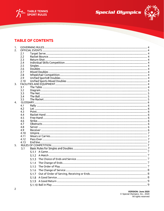





## **TABLE OF CONTENTS**

| 1. |            |       |  |
|----|------------|-------|--|
| 2. |            |       |  |
|    | 2.1        |       |  |
|    | 2.2        |       |  |
|    | 2.3        |       |  |
|    | 2.4        |       |  |
|    | 2.5        |       |  |
|    | 2.6        |       |  |
|    | 2.7        |       |  |
|    | 2.8        |       |  |
|    | 2.9        |       |  |
|    | 2.10       |       |  |
| 3. |            |       |  |
|    | 3.1        |       |  |
|    | 3.2<br>3.3 |       |  |
|    | 3.4        |       |  |
|    | 3.5        |       |  |
| 4. |            |       |  |
|    | 4.1        |       |  |
|    | 4.2        |       |  |
|    | 4.3        |       |  |
|    | 4.4        |       |  |
|    | 4.5        |       |  |
|    | 4.6        |       |  |
|    | 4.7        |       |  |
|    | 4.8        |       |  |
|    | 4.9        |       |  |
|    | 4.10       |       |  |
|    | 4.11       |       |  |
|    | 4.12       |       |  |
|    | 4.13       |       |  |
| 5. |            |       |  |
|    | 5.1        |       |  |
|    |            |       |  |
|    |            |       |  |
|    |            |       |  |
|    |            |       |  |
|    |            |       |  |
|    |            | 5.1.5 |  |
|    |            | 5.1.6 |  |
|    |            | 5.1.7 |  |
|    |            | 5.1.8 |  |
|    |            |       |  |
|    |            |       |  |
|    |            |       |  |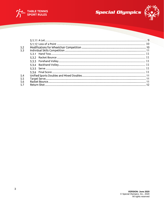



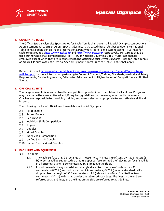





#### <span id="page-3-0"></span>**1. GOVERNING RULES**

The Official Special Olympics Sports Rules for Table Tennis shall govern all Special Olympics competitions. As an international sports program, Special Olympics has created these rules based upon International Table Tennis Federation (ITTF) and International Paralympic Table Tennis Committee (IPTTC) Rules for table tennis found at [http://www.ittf.com/ a](http://www.ittf.com/)nd [http://www.ipttc.org/ r](http://www.ipttc.org/)espectively. IPTTC rules shall be used during wheelchair competitions. ITTF, IPTTC or National Governing Body (NGB) rules shall be employed except when they are in conflict with the Official Special Olympics Sports Rules for Table Tennis or Article I. In such cases, the Official Special Olympics Sports Rules for Table Tennis shall apply.

Refer to Article 1[, http://media.specialolympics.org/resources/sports-essentials/general/Sports-Rules-](http://media.specialolympics.org/resources/sports-essentials/general/Sports-Rules-Article-1.pdf)[Article-1.pdf,](http://media.specialolympics.org/resources/sports-essentials/general/Sports-Rules-Article-1.pdf) for more information pertaining to Codes of Conduct, Training Standards, Medical and Safety Requirements, Divisioning, Awards, Criteria for Advancement to Higher Levels of Competition, and Unified Sports.

#### <span id="page-3-1"></span>**2. OFFICIAL EVENTS**

The range of events is intended to offer competition opportunities for athletes of all abilities. Programs may determine the events offered and, if required, guidelines for the management of those events. Coaches are responsible for providing training and event selection appropriate to each athlete's skill and interest.

The following is a list of official events available in Special Olympics.

- $2.1$ Target Serve
- $2.2$ Racket Bounce
- $2.3$ Return Shot
- $2.4$ Individual Skills Competition
- $2.5$ **Singles**
- $2.6$ Doubles
- Mixed Doubles  $2.7$
- $2.8$ Wheelchair Competition
- $2.9$ Unified Sports® Doubles
- 2.10 Unified Sports Mixed Doubles

#### <span id="page-3-2"></span>**3. FACILITIES AND EQUIPMENT**

- $3.1$ The Table
	- $3.1.1$ The table surface shall be rectangular, measuring 2.74 meters (9 ft) long by 1.525 meters (5 ft) wide. It shall be supported so that its upper surface, termed the "playing surface," shall lie in a horizontal plane 76 centimeters (2 ft, 6 in) above the floor.
	- $3.1.2$ It shall be made of any material and shall yield a uniform bounce of no less than 22 centimeters (8.75 in) and not more than 25 centimeters, (9.75 in) when a standard ball is dropped from a height of 30.5 centimeters (12 in) above its surface. A white line, two centimeters (3/4 in) wide, shall border the table surface edges. The lines on the end are referred to as end lines, and the lines on the side are referred to as sidelines.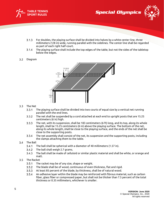



- $3.1.3$ For doubles, the playing surface shall be divided into halves by a white center line, three millimeters (1/8 in) wide, running parallel with the sidelines. The center line shall be regarded as part of each right half-court.
- The playing surface shall include the top edges of the table, but not the sides of the tabletop  $3.1.4$ below the edges.

#### $3.2$ Diagram



### 3.3 The Net

- $3.3.1$ The playing surface shall be divided into two courts of equal size by a vertical net running parallel with the end lines.
- $3.3.2$ The net shall be suspended by a cord attached at each end to upright posts that are 15.25 centimeters (6 in) high.
- $3.3.3$ The net, with its suspension, shall be 183 centimeters (6 ft) long, and its top, along its whole length, shall be 15.25 centimeters (6 in) above the playing surface. The bottom of the net, along its whole length, shall be close to the playing surface, and the ends of the net shall be close to the supporting posts.
- $3.3.4$ The net assembly shall consist of the net, its suspension and the supporting posts, including the clamps attaching them to the table.
- $3.4$ The Ball
	- $3.4.1$ The ball shall be spherical with a diameter of 40 millimeters (1.57 in).
	- $3.4.2$ The ball shall weigh 2.7 grams.
	- $3.4.3$ The ball shall be made of celluloid or similar plastic material and shall be white, or orange and matt.
- $3.5$ The Racket
	- $3.5.1$ The racket may be of any size, shape or weight.
	- $3.5.2$ The blade shall be of wood, continuous of even thickness, flat and rigid.
	- $3.5.3$ At least 85 percent of the blade, by thickness, shall be of natural wood.
	- $3.5.4$ An adhesive layer within the blade may be reinforced with fibrous material, such as carbon fiber, glass fiber or compressed paper, but shall not be thicker than 7.5 percent of the total thickness or 0.35 millimeters, whichever is smaller.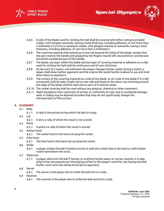



- 
- $3.5.5$ A side of the blade used for striking the ball shall be covered with either ordinary pimpled rubber, with pimples outwards, having a total thickness, including adhesive, of not more than 2 millimeters (1/16 in) or sandwich rubber, with pimples inwards or outwards, having a total thickness, including adhesive, of not more than 4 millimeters.
- $3.5.6$ The covering material shall extend up to but not beyond the limits of the blade, except that the part nearest the handle and gripped by the fingers may be left uncovered or covered and should be considered part of the handle.
- $3.5.7$ The blade, any layer within the blade and any layer of covering material or adhesive on a side used for striking the ball shall be continuous and of even thickness.
- $3.5.8$ At the start of a match, and whenever the player changes his/her racket during a match, a player shall show his/her opponent and the umpire the racket he/she is about to use and shall allow them to examine it.
- $3.5.9$ The surface of the covering material on a side of the blade, or of a side of the blade if it is left uncovered, shall be matt, bright red on one side and black on the other; any trimming around the edge of the blade shall be matt and no part of it shall be white.
- The racket covering shall be used without any physical, chemical or other treatment.
- Slight deviations from continuity of surface or uniformity of color due to accidental damage, wear or fading may be allowed provided that they do not significantly change the characteristics of the surface.

## <span id="page-5-0"></span>**4. GLOSSARY**

- $4.1$ Rally
	- $4.1.1$ A rally is the period during which the ball is in play.
- $4.2$ Let
	- $4.2.1$ A let is a rally of which the result is not scored.
- $4.3$ Point
	- $4.3.1$ A point is a rally of which the result is scored.
- Racket Hand  $4.4$ 
	- The racket hand is the hand carrying the racket. 4.4.1
- Free Hand  $4.5$ 
	- $4.5.1$ The free hand is the hand not carrying the racket.
- $4.6$ Strike
	- $4.6.1$ A player strikes the ball if he/she touches it with the racket held in the hand or with his/her racket hand below the wrist.
- $4.7$ **Obstructs** 
	- $4.7.1$ A player obstructs the ball if he/she, or anything he/she wears or carries, touches it in play when it has not passed over the playing surface or the player's end line, not having touched his/her court since last being struck by his opponent.
- $4.8$ Server
	- $4.8.1$ The server is the player due to strike the ball first in a rally.
- 4.9 Receiver
	- $4.9.1$ The receiver is the player due to strike the ball second in a rally.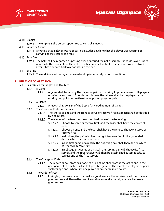





- 4.10 Umpire
	- 4.10.1 The umpire is the person appointed to control a match.
- 4.11 Wears or Carries
	- Anything that a player wears or carries includes anything that the player was wearing or carrying at the start of the rally.
- 4.12 Pass Over
	- The ball shall be regarded as passing over or around the net assembly if it passes over, under or outside the projectile of the net assembly outside the table or if, in a return, it is struck after it has bounced back over or around the net.
- 4.13 End line
	- 4.13.1 The end line shall be regarded as extending indefinitely in both directions.

## <span id="page-6-0"></span>**5. RULES OF COMPETITION**

- <span id="page-6-5"></span><span id="page-6-4"></span><span id="page-6-3"></span><span id="page-6-2"></span><span id="page-6-1"></span> $5.1$ Basic Rules for Singles and Doubles
	- $5.1.1$ A Game
		- 5.1.1.1 A game shall be won by the player or pair first scoring 11 points unless both players or pairs have scored 10 points. In this case, the winner shall be the player or pair scoring two points more than the opposing player or pair.
	- $5.1.2$ A Match
		- 5.1.2.1 A match shall consist of the best of any odd number of games.
	- $5.1.3$ The Choice of Ends and Service
		- 5.1.3.1 The choice of ends and the right to serve or receive first in a match shall be decided by a coin toss.
		- The winner of the toss has the option to do one of the following:
			- 5.1.3.2.1 Choose to serve or receive first, and the loser shall have the choice of ends.
			- $5.1.3.2.2$ Choose an end, and the loser shall have the right to choose to serve or receive first
			- In doubles, the pair who has the right to serve first in the game shall  $5.1.3.2.3$ decide which partner shall do so.
			- $5.1.3.2.4$ In the first game of a match, the opposing pair shall then decide which partner will receive first.
			- 5.1.3.2.5 In subsequent games of a match, the serving pair will choose its first server, and the first receiver will then be established automatically to correspond to the first server.
	- 5.1.4 The Change of Ends
		- The player or pair starting at one end in a game shall start at the other end in the  $5.1.4.1$ next game of the match. In the last possible game of the match, the players or pairs shall change ends when first one player or pair scores five points.
	- $5.1.5$ The Order of Play
		- In singles, the server shall first make a good service, the receiver shall then make a good return and, thereafter, service and receiver alternately shall each make a good return.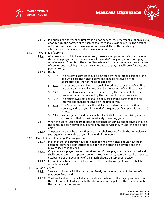



- 
- In doubles, the server shall first make a good service, the receiver shall then make a good return, the partner of the server shall then make a good return, the partner of the receiver shall then make a good return and, thereafter, each player alternately in that sequence shall make a good return.
- <span id="page-7-0"></span> $5.1.6$ The Change of Service
	- After each two points have been scored, the receiving player or pair shall become  $5.1.6.1$ the serving player or pair and so on until the end of the game, unless both players or pairs score 10 points or the expedite system is in operation (when the sequence of serving and receiving shall be the same, but each player shall serve for only one point in turn).
	- 5.1.6.2 Doubles
		- The first two services shall be delivered by the selected partner of the  $5.1.6.2.1$ pair which has the right to serve and shall be received by the appropriate partner of the opposing pair.
		- $5.1.6.2.2$ The second two services shall be delivered by the receiver of the first two services and shall be received by the partner of the first server.
		- $5.1.6.2.3$ The third two services shall be delivered by the partner of the first server and shall be received by the partner of the first receiver.
		- The fourth two services shall be delivered by the partner of the first 5.1.6.2.4 receiver and shall be received by the first server.
		- 5.1.6.2.5 The fifth two services shall be delivered and received as the first two services, and so on, until the end of the game or if the score is tied at 20 points.
		- In each game of a doubles match, the initial order of receiving shall be  $5.1.6.2.6$ opposite to that in the immediately preceding game.
	- 5.1.6.3 When the score is tied at 10 points, the sequence of serving and receiving shall be the same, but each player shall deliver only one service in turn until the end of the game.
	- 5.1.6.4 The player or pair who serves first in a game shall receive first in the immediately subsequent game and so on, until the end of the match.
- <span id="page-7-1"></span>Out of Order of Serving, Receiving or Ends  $5.1.7$ 
	- 5.1.7.1 If by mistake, the players have not changed ends when ends should have been changed, play shall be interrupted as soon as the error is discovered and the players shall change ends.
	- If by mistake a player serves or receives out of turn, play shall be interrupted and shall continue with that player serving or receiving who, according to the sequence established at the beginning of the match, should be server or receiver.
	- 5.1.7.3 In any circumstances, all points scored before the discovery of an error shall be considered valid.
- <span id="page-7-2"></span> $5.1.8$ A Good Service
	- 5.1.8.1 Service shall start with the ball resting freely on the open palm of the server's stationary free hand.
	- 5.1.8.2 The free hand and the racket shall be above the level of the playing surface from the last moment at which the ball is stationary on the palm of the free hand until the ball is struck in service.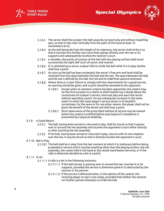





- 5.1.8.3 The server shall then project the ball upwards, by hand only and without imparting spin, so that it rises near vertically from the palm of the hand at least 16 centimeters (6 in).
- 5.1.8.4 As the ball descends from the height of its trajectory, the server shall strike it so that it touches first his/her own court then passes directly over the net or its supports and subsequently touches the receiver's court.
- In doubles, the points of contact of the ball with the playing surface shall touch  $5.1.8.5$ successively the right half court of server and receiver.
- If, in attempting to serve, a player fails to strike the ball while it is in play, he/she shall lose a point.
- 5.1.8.7 As soon as the ball has been projected, the server's free arm and hand shall be removed from the space between the ball and the net. The space between the ball and the net is defined by the ball, the net and its indefinite upward extension.
- 5.1.8.8 Where there is a clear failure to comply with the requirements for a good service, no warning should be given, and a point should be awarded to the opponent.
	- $5.1.8.8.1$ Except when an assistant umpire has been appointed, the umpire may, on the first occasion in a match at which he/she has a doubt about the correctness of a player's service, interrupt play and warn the server without awarding a point. On any subsequent occasion in the same match in which the same player's service action is of doubtful correctness, for the same or for any other reason, the player shall not be given the benefit of the doubt and shall lose a point.
	- 5.1.8.8.2 Strict observance of the prescribed method of service may be waived (when the umpire is notified before play begins) if compliance is prevented by a physical disability.

### <span id="page-8-0"></span>5.1.9 A Good Return

- The ball, having been served or returned in play, shall be struck so that it passes over or around the net assembly and touches the opponent's court either directly or after touching the net assembly.
- If the ball, having been served or returned in play, returns with its own impetus over the net, it may be struck so that it directly touches the opponent's court.

### <span id="page-8-1"></span>5.1.10 Ball in Play

5.1.10.1 The ball shall be in play from the last moment at which it is stationary before being projected in service until it touches anything other than the playing surface, the net assembly, the racket held in the hand or the racket hand below the wrist, or if the rally is otherwise decided as a let or a point.

### <span id="page-8-2"></span>5.1.11 A Let

- 5.1.11.1 A rally is a let in the following instances:
	- 5.1.11.1.1 If the ball served, in passing over or around the net, touches it or its supports, provided the service is otherwise good or is obstructed by the receiver or his partner.
	- 5.1.11.1.2 If the service is delivered when, in the opinion of the umpire, the receiving player or pair is not ready, provided that neither the receiver nor his/her partner attempts to strike the ball.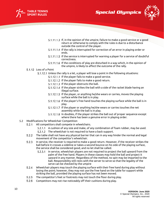





- 5.1.11.1.3 If, in the opinion of the umpire, failure to make a good service or a good return or otherwise to comply with the rules is due to a disturbance outside the control of the player.
- 5.1.11.1.4 If the rally is interrupted for correction of an error in playing order or ends.
- 5.1.11.1.5 If the service is interrupted for warning a player for a service of doubtful correctness.
- 5.1.11.1.6 If the conditions of play are disturbed in a way which, in the opinion of the umpire, is likely to affect the outcome of the rally.
- <span id="page-9-0"></span>5.1.12 Loss of a Point
	- Unless the rally is a let, a player will lose a point in the following situations:
		- 5.1.12.1.1 If the player fails to make a good service.
		- 5.1.12.1.2 If the player fails to make a good return.
		- 5.1.12.1.3 If the player obstructs the ball.
		- 5.1.12.1.4 If the player strikes the ball with a side of the racket blade having an illegal surface.
		- 5.1.12.1.5 If the player, or anything he/she wears or carries, moves the playing surface while the ball is in play.
		- 5.1.12.1.6 If the player's free hand touches the playing surface while the ball is in play.
		- 5.1.12.1.7 If the player or anything he/she wears or carries touches the net assembly while the ball is in play.
		- 5.1.12.1.8 In doubles, if the player strikes the ball out of proper sequence except where there has been a genuine error in playing order.
- $5.2$ Modifications for Wheelchair Competition
	- $5.2.1$ All competitors shall compete in wheelchairs.
		- 5.2.1.1 A cushion of any size and make, of any combination of foam rubber, may be used.
		- 5.2.1.2 The wheelchair is not required to have a back support.
	- $5.2.2$ The table shall not have any physical barrier that can in any way hinder the normal and legal movement of the competitor's wheelchair.
	- $5.2.3$ In service, the receiver is required to make a good return. However, if the receiver strikes the ball before it crosses a sideline or takes a second bounce on his side of the playing surface, the service shall be considered good, and no let shall be called.
		- In service, wheelchair players are not required to project the ball upward from the  $5.2.3.1$ palm of the free hand. Players in these classes may hold the ball and project it upward in any manner. Regardless of the method, no spin may be imparted to the ball. Responsibility still rests with the server to serve so that the legality of the serve can be checked by the umpire
	- Wheelchair players may touch the playing surface with their free hand during play without  $5.2.4$ losing the point; however, they may not use the free hand on the table for support while striking the ball, provided the playing surface has not been moved.
	- $5.2.5$ The competitor's feet or footrests may not touch the floor during play.
	- $5.2.6$ Competitors may not rise noticeably off their cushions during play.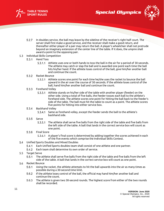





- $5.2.7$ In doubles service, the ball may leave by the sideline of the receiver's right half court. The server shall first make a good service, and the receiver shall make a good return, and thereafter either player of a pair may return the ball. A player's wheelchair shall not protrude beyond an imaginary extension of the center line of the table. If it does, the umpire shall award a point to the opposing pair.
- <span id="page-10-1"></span><span id="page-10-0"></span>5.3 Individual Skills Competition
	- $5.3.1$ Hand Toss
		- 5.3.1.1 Athlete uses one or both hands to toss the ball in the air for a period of 30 seconds. The athlete may catch or slap the ball and is awarded one point each time the ball hits his/her hand. If the athlete loses control of the ball, give him/her another ball and continue the count.
	- $5.3.2$ Racket Bounce
		- Athlete scores one point for each time he/she uses the racket to bounce the ball upward in the air over the course of 30 seconds. If the athlete loses control of the ball, hand him/her another ball and continue the count.
	- 5.3.3 Forehand Volley
		- Athlete stands on his/her side of the table with another player (feeder) on the other side. Using a total of five balls, the feeder tosses each ball to the athlete's forehand side. The athlete scores one point for hitting the ball back to the feeder's side of the table. The ball must hit the table to count as a point. The athlete scores five points for hitting into either service box.

#### <span id="page-10-3"></span><span id="page-10-2"></span> $5.3.4$ Backhand Volley

- 5.3.4.1 Same as forehand volley, except the feeder sends the ball to the athlete's backhand side.
- <span id="page-10-4"></span> $5.3.5$ Serve
	- The athlete shall serve five balls from the right side of the table and five balls from the left side of the table. A ball that lands in the correct service box will count as one point.
- 5.3.6 Final Score
	- A player's final score is determined by adding together the scores achieved in each of the five events which comprise the Individual Skills Contest.
- <span id="page-10-5"></span> $5.4$ Unified Sports Doubles and Mixed Doubles
	- $5.4.1$ Each Unified Sports doubles team shall consist of one athlete and one partner.
	- $5.4.2$ Each team shall determine its own order of service.
- 5.5 Target Serve
	- $5.5.1$ The athlete shall serve five balls from the right side of the table and five balls from the left side of the table. A ball that lands in the correct service box will count as one point.
- 5.6 Racket Bounce
	- $5.6.1$ Using the racket, the athlete attempts to hit the ball upwards into the air as many times as possible during a 30-second time limit.
	- $5.6.2$ If the athlete loses control of the ball, the official may hand him/her another ball and continue the count.
	- $5.6.3$ The athlete is given two 30-second rounds. The highest score from either of the two rounds shall be recorded.